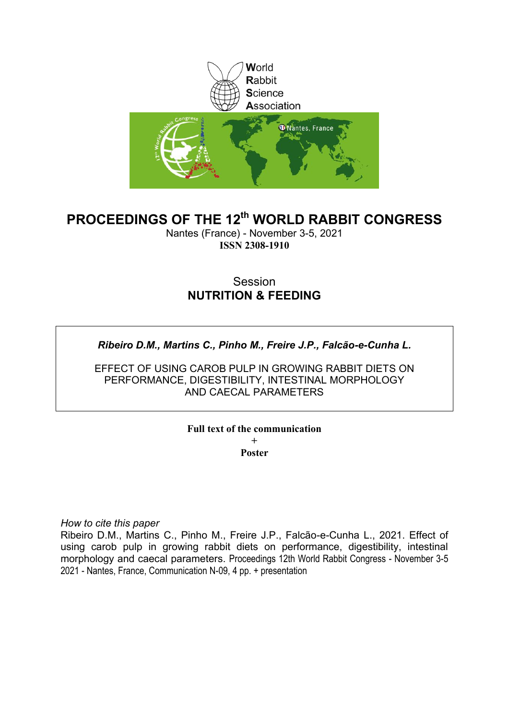

# **PROCEEDINGS OF THE 12th WORLD RABBIT CONGRESS**

Nantes (France) - November 3-5, 2021 **ISSN 2308-1910**

## Session **NUTRITION & FEEDING**

*Ribeiro D.M., Martins C., Pinho M., Freire J.P., Falcão-e-Cunha L.*

EFFECT OF USING CAROB PULP IN GROWING RABBIT DIETS ON PERFORMANCE, DIGESTIBILITY, INTESTINAL MORPHOLOGY AND CAECAL PARAMETERS

> **Full text of the communication + Poster**

*How to cite this paper*

Ribeiro D.M., Martins C., Pinho M., Freire J.P., Falcão-e-Cunha L., 2021. Effect of using carob pulp in growing rabbit diets on performance, digestibility, intestinal morphology and caecal parameters. Proceedings 12th World Rabbit Congress - November 3-5 2021 - Nantes, France, Communication N-09, 4 pp. + presentation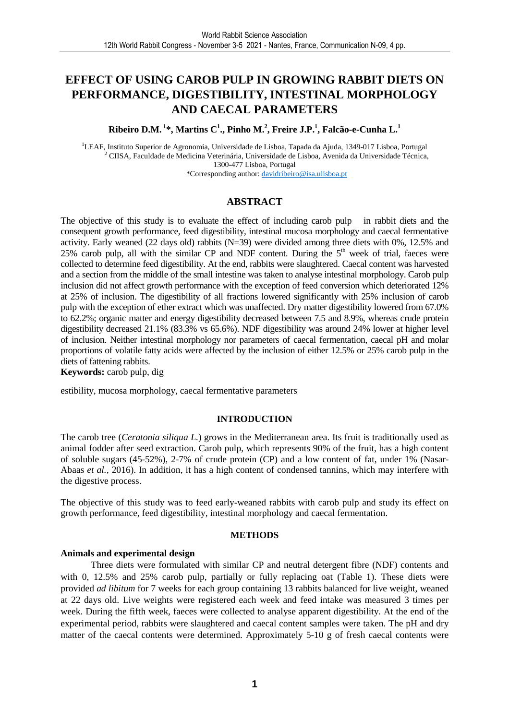# **EFFECT OF USING CAROB PULP IN GROWING RABBIT DIETS ON PERFORMANCE, DIGESTIBILITY, INTESTINAL MORPHOLOGY AND CAECAL PARAMETERS**

**Ribeiro D.M.<sup>1</sup>\*, Martins C<sup>1</sup> ., Pinho M.<sup>2</sup> , Freire J.P.<sup>1</sup> , Falcão-e-Cunha L.<sup>1</sup>**

<sup>1</sup>LEAF, Instituto Superior de Agronomia, Universidade de Lisboa, Tapada da Ajuda, 1349-017 Lisboa, Portugal 2 CIISA, Faculdade de Medicina Veterinária, Universidade de Lisboa, Avenida da Universidade Técnica, 1300-477 Lisboa, Portugal \*Corresponding author: davidribeiro@isa.ulisboa.pt

### **ABSTRACT**

The objective of this study is to evaluate the effect of including carob pulp in rabbit diets and the consequent growth performance, feed digestibility, intestinal mucosa morphology and caecal fermentative activity. Early weaned (22 days old) rabbits (N=39) were divided among three diets with 0%, 12.5% and 25% carob pulp, all with the similar CP and NDF content. During the  $5<sup>th</sup>$  week of trial, faeces were collected to determine feed digestibility. At the end, rabbits were slaughtered. Caecal content was harvested and a section from the middle of the small intestine was taken to analyse intestinal morphology. Carob pulp inclusion did not affect growth performance with the exception of feed conversion which deteriorated 12% at 25% of inclusion. The digestibility of all fractions lowered significantly with 25% inclusion of carob pulp with the exception of ether extract which was unaffected. Dry matter digestibility lowered from 67.0% to 62.2%; organic matter and energy digestibility decreased between 7.5 and 8.9%, whereas crude protein digestibility decreased 21.1% (83.3% vs 65.6%). NDF digestibility was around 24% lower at higher level of inclusion. Neither intestinal morphology nor parameters of caecal fermentation, caecal pH and molar proportions of volatile fatty acids were affected by the inclusion of either 12.5% or 25% carob pulp in the diets of fattening rabbits.

**Keywords:** carob pulp, dig

estibility, mucosa morphology, caecal fermentative parameters

### **INTRODUCTION**

The carob tree (*Ceratonia siliqua L.*) grows in the Mediterranean area. Its fruit is traditionally used as animal fodder after seed extraction. Carob pulp, which represents 90% of the fruit, has a high content of soluble sugars (45-52%), 2-7% of crude protein (CP) and a low content of fat, under 1% (Nasar-Abaas *et al.,* 2016). In addition, it has a high content of condensed tannins, which may interfere with the digestive process.

The objective of this study was to feed early-weaned rabbits with carob pulp and study its effect on growth performance, feed digestibility, intestinal morphology and caecal fermentation.

### **METHODS**

### **Animals and experimental design**

Three diets were formulated with similar CP and neutral detergent fibre (NDF) contents and with 0, 12.5% and 25% carob pulp, partially or fully replacing oat (Table 1). These diets were provided *ad libitum* for 7 weeks for each group containing 13 rabbits balanced for live weight, weaned at 22 days old. Live weights were registered each week and feed intake was measured 3 times per week. During the fifth week, faeces were collected to analyse apparent digestibility. At the end of the experimental period, rabbits were slaughtered and caecal content samples were taken. The pH and dry matter of the caecal contents were determined. Approximately 5-10 g of fresh caecal contents were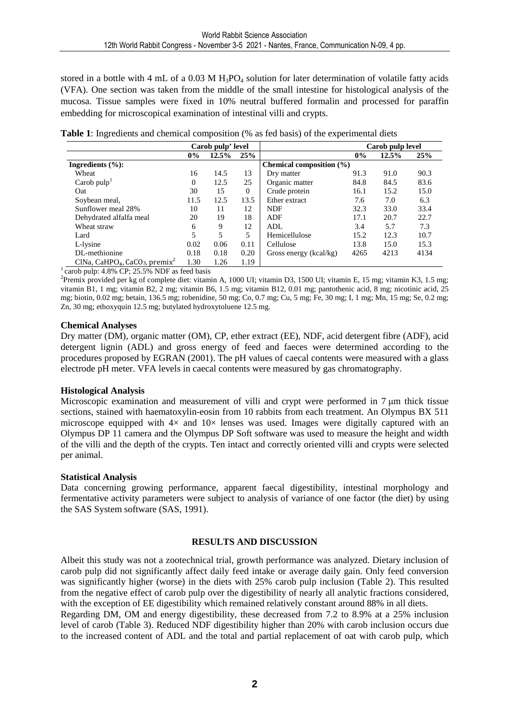stored in a bottle with 4 mL of a 0.03 M  $H_3PO_4$  solution for later determination of volatile fatty acids (VFA). One section was taken from the middle of the small intestine for histological analysis of the mucosa. Tissue samples were fixed in 10% neutral buffered formalin and processed for paraffin embedding for microscopical examination of intestinal villi and crypts.

**Table 1**: Ingredients and chemical composition (% as fed basis) of the experimental diets

|                                                                    | Carob pulp' level |       |              |                              | Carob pulp level |       |      |
|--------------------------------------------------------------------|-------------------|-------|--------------|------------------------------|------------------|-------|------|
|                                                                    | $0\%$             | 12.5% | 25%          |                              | $0\%$            | 12.5% | 25%  |
| Ingredients $(\%):$                                                |                   |       |              | Chemical composition $(\% )$ |                  |       |      |
| Wheat                                                              | 16                | 14.5  | 13           | Dry matter                   | 91.3             | 91.0  | 90.3 |
| Carob $pulpT$                                                      | $\Omega$          | 12.5  | 25           | Organic matter               | 84.8             | 84.5  | 83.6 |
| Oat                                                                | 30                | 15    | $\mathbf{0}$ | Crude protein                | 16.1             | 15.2  | 15.0 |
| Soybean meal,                                                      | 11.5              | 12.5  | 13.5         | Ether extract                | 7.6              | 7.0   | 6.3  |
| Sunflower meal 28%                                                 | 10                | 11    | 12           | <b>NDF</b>                   | 32.3             | 33.0  | 33.4 |
| Dehydrated alfalfa meal                                            | 20                | 19    | 18           | <b>ADF</b>                   | 17.1             | 20.7  | 22.7 |
| Wheat straw                                                        | 6                 | 9     | 12           | ADL                          | 3.4              | 5.7   | 7.3  |
| Lard                                                               | 5                 | 5     | 5            | Hemicellulose                | 15.2             | 12.3  | 10.7 |
| L-lysine                                                           | 0.02              | 0.06  | 0.11         | Cellulose                    | 13.8             | 15.0  | 15.3 |
| DL-methionine                                                      | 0.18              | 0.18  | 0.20         | Gross energy (kcal/kg)       | 4265             | 4213  | 4134 |
| CINa, CaHPO <sub>4</sub> , CaCO <sub>3</sub> , premix <sup>2</sup> | 1.30              | 1.26  | 1.19         |                              |                  |       |      |

 $\frac{1}{2}$  carob pulp: 4.8% CP; 25.5% NDF as feed basis

<sup>2</sup>Premix provided per kg of complete diet: vitamin A, 1000 UI; vitamin D3, 1500 UI; vitamin E, 15 mg; vitamin K3, 1.5 mg; vitamin B1, 1 mg; vitamin B2, 2 mg; vitamin B6, 1.5 mg; vitamin B12, 0.01 mg; pantothenic acid, 8 mg; nicotinic acid, 25 mg; biotin, 0.02 mg; betain, 136.5 mg; robenidine, 50 mg; Co, 0.7 mg; Cu, 5 mg; Fe, 30 mg; I, 1 mg; Mn, 15 mg; Se, 0.2 mg; Zn, 30 mg; ethoxyquin 12.5 mg; butylated hydroxytoluene 12.5 mg.

### **Chemical Analyses**

Dry matter (DM), organic matter (OM), CP, ether extract (EE), NDF, acid detergent fibre (ADF), acid detergent lignin (ADL) and gross energy of feed and faeces were determined according to the procedures proposed by EGRAN (2001). The pH values of caecal contents were measured with a glass electrode pH meter. VFA levels in caecal contents were measured by gas chromatography.

### **Histological Analysis**

Microscopic examination and measurement of villi and crypt were performed in 7 um thick tissue sections, stained with haematoxylin-eosin from 10 rabbits from each treatment. An Olympus BX 511 microscope equipped with  $4\times$  and  $10\times$  lenses was used. Images were digitally captured with an Olympus DP 11 camera and the Olympus DP Soft software was used to measure the height and width of the villi and the depth of the crypts. Ten intact and correctly oriented villi and crypts were selected per animal.

### **Statistical Analysis**

Data concerning growing performance, apparent faecal digestibility, intestinal morphology and fermentative activity parameters were subject to analysis of variance of one factor (the diet) by using the SAS System software (SAS, 1991).

### **RESULTS AND DISCUSSION**

Albeit this study was not a zootechnical trial, growth performance was analyzed. Dietary inclusion of carob pulp did not significantly affect daily feed intake or average daily gain. Only feed conversion was significantly higher (worse) in the diets with 25% carob pulp inclusion (Table 2). This resulted from the negative effect of carob pulp over the digestibility of nearly all analytic fractions considered, with the exception of EE digestibility which remained relatively constant around 88% in all diets.

Regarding DM, OM and energy digestibility, these decreased from 7.2 to 8.9% at a 25% inclusion level of carob (Table 3). Reduced NDF digestibility higher than 20% with carob inclusion occurs due to the increased content of ADL and the total and partial replacement of oat with carob pulp, which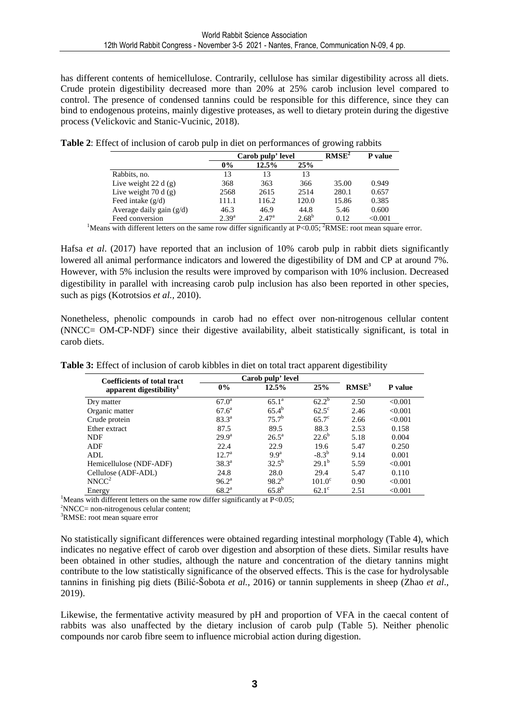has different contents of hemicellulose. Contrarily, cellulose has similar digestibility across all diets. Crude protein digestibility decreased more than 20% at 25% carob inclusion level compared to control. The presence of condensed tannins could be responsible for this difference, since they can bind to endogenous proteins, mainly digestive proteases, as well to dietary protein during the digestive process (Velickovic and Stanic-Vucinic, 2018).

|                            | Carob pulp' level |                |            | RMSE <sup>2</sup> | <b>P</b> value |
|----------------------------|-------------------|----------------|------------|-------------------|----------------|
|                            | $0\%$             | 12.5%          | 25%        |                   |                |
| Rabbits, no.               | 13                | 13             | 13         |                   |                |
| Live weight 22 d $(g)$     | 368               | 363            | 366        | 35.00             | 0.949          |
| Live weight $70 d(g)$      | 2568              | 2615           | 2514       | 280.1             | 0.657          |
| Feed intake $(g/d)$        | 111.1             | 116.2          | 120.0      | 15.86             | 0.385          |
| Average daily gain $(g/d)$ | 46.3              | 46.9           | 44.8       | 5.46              | 0.600          |
| Feed conversion            | $2.39^{a}$        | $2.47^{\rm a}$ | $2.68^{b}$ | 0.12              | < 0.001        |

**Table 2**: Effect of inclusion of carob pulp in diet on performances of growing rabbits

<sup>1</sup>Means with different letters on the same row differ significantly at P<0.05; <sup>2</sup>RMSE: root mean square error.

Hafsa *et al*. (2017) have reported that an inclusion of 10% carob pulp in rabbit diets significantly lowered all animal performance indicators and lowered the digestibility of DM and CP at around 7%. However, with 5% inclusion the results were improved by comparison with 10% inclusion. Decreased digestibility in parallel with increasing carob pulp inclusion has also been reported in other species, such as pigs (Kotrotsios *et al.,* 2010).

Nonetheless, phenolic compounds in carob had no effect over non-nitrogenous cellular content (NNCC= OM-CP-NDF) since their digestive availability, albeit statistically significant, is total in carob diets.

| <b>Coefficients of total tract</b>  | Carob pulp' level |                  |                 |                   |         |
|-------------------------------------|-------------------|------------------|-----------------|-------------------|---------|
| apparent digestibility <sup>1</sup> | $0\%$             | 12.5%            | 25%             | RMSE <sup>3</sup> | P value |
| Dry matter                          | 67.0 <sup>a</sup> | $65.1^{\circ}$   | $62.2^b$        | 2.50              | < 0.001 |
| Organic matter                      | $67.6^{\rm a}$    | $65.4^{b}$       | $62.5^{\circ}$  | 2.46              | < 0.001 |
| Crude protein                       | $83.3^{a}$        | $75.7^{\rm b}$   | $65.7^\circ$    | 2.66              | < 0.001 |
| Ether extract                       | 87.5              | 89.5             | 88.3            | 2.53              | 0.158   |
| <b>NDF</b>                          | 29.9 <sup>a</sup> | $26.5^{\rm a}$   | $22.6^b$        | 5.18              | 0.004   |
| <b>ADF</b>                          | 22.4              | 22.9             | 19.6            | 5.47              | 0.250   |
| ADL.                                | $12.7^a$          | 9.9 <sup>a</sup> | $-8.3^{b}$      | 9.14              | 0.001   |
| Hemicellulose (NDF-ADF)             | $38.3^{\circ}$    | $32.5^{b}$       | $29.1^{\rm b}$  | 5.59              | < 0.001 |
| Cellulose (ADF-ADL)                 | 24.8              | 28.0             | 29.4            | 5.47              | 0.110   |
| NNCC <sup>2</sup>                   | $96.2^{\rm a}$    | $98.2^{b}$       | $101.0^{\circ}$ | 0.90              | < 0.001 |
| Energy                              | $68.2^{\circ}$    | $65.8^{b}$       | $62.1^\circ$    | 2.51              | < 0.001 |

**Table 3:** Effect of inclusion of carob kibbles in diet on total tract apparent digestibility

<sup>1</sup>Means with different letters on the same row differ significantly at P<0.05;

<sup>2</sup>NNCC= non-nitrogenous celular content;

<sup>3</sup>RMSE: root mean square error

No statistically significant differences were obtained regarding intestinal morphology (Table 4), which indicates no negative effect of carob over digestion and absorption of these diets. Similar results have been obtained in other studies, although the nature and concentration of the dietary tannins might contribute to the low statistically significance of the observed effects. This is the case for hydrolysable tannins in finishing pig diets (Bilić-Šobota *et al.,* 2016) or tannin supplements in sheep (Zhao *et al*., 2019).

Likewise, the fermentative activity measured by pH and proportion of VFA in the caecal content of rabbits was also unaffected by the dietary inclusion of carob pulp (Table 5). Neither phenolic compounds nor carob fibre seem to influence microbial action during digestion.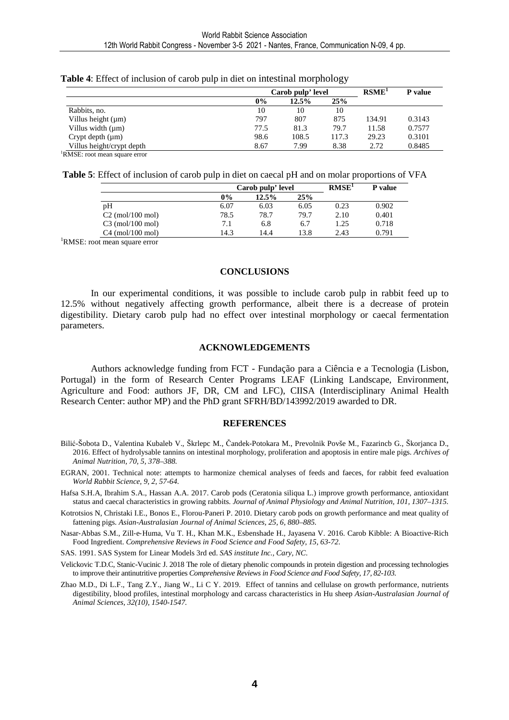|                           | Carob pulp' level | RSME <sup>1</sup> | P value |        |        |
|---------------------------|-------------------|-------------------|---------|--------|--------|
|                           | $0\%$             | 12.5%             | 25%     |        |        |
| Rabbits, no.              | 10                | 10                | 10      |        |        |
| Villus height $(\mu m)$   | 797               | 807               | 875     | 134.91 | 0.3143 |
| Villus width $(\mu m)$    | 77.5              | 81.3              | 79.7    | 11.58  | 0.7577 |
| Crypt depth $(\mu m)$     | 98.6              | 108.5             | 117.3   | 29.23  | 0.3101 |
| Villus height/crypt depth | 8.67              | 7.99              | 8.38    | 2.72   | 0.8485 |
|                           |                   |                   |         |        |        |

**Table 4**: Effect of inclusion of carob pulp in diet on intestinal morphology

RMSE: root mean square error

| Table 5: Effect of inclusion of carob pulp in diet on caecal pH and on molar proportions of VFA |
|-------------------------------------------------------------------------------------------------|
|-------------------------------------------------------------------------------------------------|

|                     | Carob pulp' level |       |      | RMSE <sup>1</sup> | <b>P</b> value |  |
|---------------------|-------------------|-------|------|-------------------|----------------|--|
|                     | 0%                | 12.5% | 25%  |                   |                |  |
| pH                  | 6.07              | 6.03  | 6.05 | 0.23              | 0.902          |  |
| $C2 \pmod{100}$ mol | 78.5              | 78.7  | 79.7 | 2.10              | 0.401          |  |
| $C3$ (mol/100 mol)  | 7.1               | 6.8   | 6.7  | 1.25              | 0.718          |  |
| $C4$ (mol/100 mol)  | 14.3              | 14.4  | 13.8 | 2.43              | 0.791          |  |

<sup>1</sup>RMSE: root mean square error

#### **CONCLUSIONS**

In our experimental conditions, it was possible to include carob pulp in rabbit feed up to 12.5% without negatively affecting growth performance, albeit there is a decrease of protein digestibility. Dietary carob pulp had no effect over intestinal morphology or caecal fermentation parameters.

#### **ACKNOWLEDGEMENTS**

Authors acknowledge funding from FCT - Fundação para a Ciência e a Tecnologia (Lisbon, Portugal) in the form of Research Center Programs LEAF (Linking Landscape, Environment, Agriculture and Food: authors JF, DR, CM and LFC), CIISA (Interdisciplinary Animal Health Research Center: author MP) and the PhD grant SFRH/BD/143992/2019 awarded to DR.

#### **REFERENCES**

- Bilić-Šobota D., Valentina Kubaleb V., Škrlepc M., Čandek-Potokara M., Prevolnik Povše M., Fazarincb G., Škorjanca D., 2016. Effect of hydrolysable tannins on intestinal morphology, proliferation and apoptosis in entire male pigs. *Archives of Animal Nutrition, 70, 5, 378–388.*
- EGRAN, 2001. Technical note: attempts to harmonize chemical analyses of feeds and faeces, for rabbit feed evaluation *World Rabbit Science, 9, 2, 57-64*.
- Hafsa S.H.A, Ibrahim S.A., Hassan A.A. 2017. Carob pods (Ceratonia siliqua L.) improve growth performance, antioxidant status and caecal characteristics in growing rabbits. *Journal of Animal Physiology and Animal Nutrition, 101, 1307–1315*.
- Kotrotsios N, Christaki I.E., Bonos E., Florou-Paneri P. 2010. Dietary carob pods on growth performance and meat quality of fattening pigs. *Asian-Australasian Journal of Animal Sciences, 25, 6, 880–885.*
- Nasar‐Abbas S.M., Zill‐e‐Huma, Vu T. H., Khan M.K., Esbenshade H., Jayasena V. 2016. Carob Kibble: A Bioactive‐Rich Food Ingredient. *Comprehensive Reviews in Food Science and Food Safety, 15, 63-72.*

SAS. 1991. SAS System for Linear Models 3rd ed. *SAS institute Inc., Cary, NC*.

- Velickovic T.D.C, Stanic-Vucinic J. 2018 The role of dietary phenolic compounds in protein digestion and processing technologies to improve their antinutritive properties *Comprehensive Reviews in Food Science and Food Safety, 17, 82-103.*
- Zhao M.D., Di L.F., Tang Z.Y., Jiang W., Li C Y. 2019. Effect of tannins and cellulase on growth performance, nutrients digestibility, blood profiles, intestinal morphology and carcass characteristics in Hu sheep *Asian-Australasian Journal of Animal Sciences, 32(10), 1540-1547.*